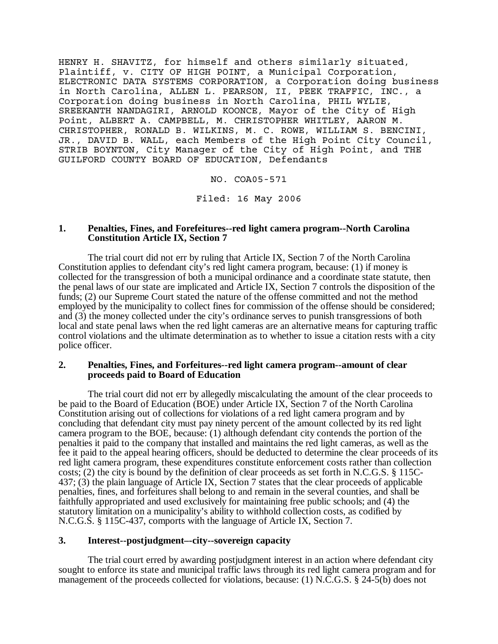HENRY H. SHAVITZ, for himself and others similarly situated, Plaintiff, v. CITY OF HIGH POINT, a Municipal Corporation, ELECTRONIC DATA SYSTEMS CORPORATION, a Corporation doing business in North Carolina, ALLEN L. PEARSON, II, PEEK TRAFFIC, INC., a Corporation doing business in North Carolina, PHIL WYLIE, SREEKANTH NANDAGIRI, ARNOLD KOONCE, Mayor of the City of High Point, ALBERT A. CAMPBELL, M. CHRISTOPHER WHITLEY, AARON M. CHRISTOPHER, RONALD B. WILKINS, M. C. ROWE, WILLIAM S. BENCINI, JR., DAVID B. WALL, each Members of the High Point City Council, STRIB BOYNTON, City Manager of the City of High Point, and THE GUILFORD COUNTY BOARD OF EDUCATION, Defendants

NO. COA05-571

Filed: 16 May 2006

## **1. Penalties, Fines, and Forefeitures--red light camera program--North Carolina Constitution Article IX, Section 7**

The trial court did not err by ruling that Article IX, Section 7 of the North Carolina Constitution applies to defendant city's red light camera program, because: (1) if money is collected for the transgression of both a municipal ordinance and a coordinate state statute, then the penal laws of our state are implicated and Article IX, Section 7 controls the disposition of the funds; (2) our Supreme Court stated the nature of the offense committed and not the method employed by the municipality to collect fines for commission of the offense should be considered; and (3) the money collected under the city's ordinance serves to punish transgressions of both local and state penal laws when the red light cameras are an alternative means for capturing traffic control violations and the ultimate determination as to whether to issue a citation rests with a city police officer.

## **2. Penalties, Fines, and Forfeitures--red light camera program--amount of clear proceeds paid to Board of Education**

The trial court did not err by allegedly miscalculating the amount of the clear proceeds to be paid to the Board of Education (BOE) under Article IX, Section 7 of the North Carolina Constitution arising out of collections for violations of a red light camera program and by concluding that defendant city must pay ninety percent of the amount collected by its red light camera program to the BOE, because: (1) although defendant city contends the portion of the penalties it paid to the company that installed and maintains the red light cameras, as well as the fee it paid to the appeal hearing officers, should be deducted to determine the clear proceeds of its red light camera program, these expenditures constitute enforcement costs rather than collection costs; (2) the city is bound by the definition of clear proceeds as set forth in N.C.G.S. § 115C-437; (3) the plain language of Article IX, Section 7 states that the clear proceeds of applicable penalties, fines, and forfeitures shall belong to and remain in the several counties, and shall be faithfully appropriated and used exclusively for maintaining free public schools; and (4) the statutory limitation on a municipality's ability to withhold collection costs, as codified by N.C.G.S. § 115C-437, comports with the language of Article IX, Section 7.

# **3. Interest--postjudgment–-city--sovereign capacity**

The trial court erred by awarding postjudgment interest in an action where defendant city sought to enforce its state and municipal traffic laws through its red light camera program and for management of the proceeds collected for violations, because: (1) N.C.G.S. § 24-5(b) does not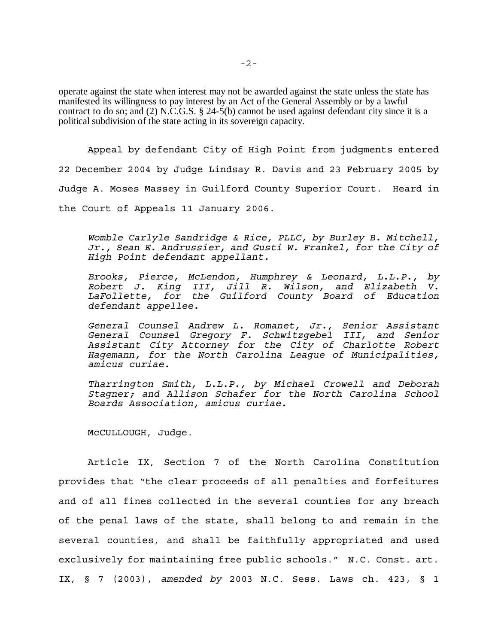operate against the state when interest may not be awarded against the state unless the state has manifested its willingness to pay interest by an Act of the General Assembly or by a lawful contract to do so; and (2) N.C.G.S. § 24-5(b) cannot be used against defendant city since it is a political subdivision of the state acting in its sovereign capacity.

Appeal by defendant City of High Point from judgments entered 22 December 2004 by Judge Lindsay R. Davis and 23 February 2005 by Judge A. Moses Massey in Guilford County Superior Court. Heard in the Court of Appeals 11 January 2006.

*Womble Carlyle Sandridge & Rice, PLLC, by Burley B. Mitchell, Jr., Sean E. Andrussier, and Gusti W. Frankel, for the City of High Point defendant appellant.*

*Brooks, Pierce, McLendon, Humphrey & Leonard, L.L.P., by Robert J. King III, Jill R. Wilson, and Elizabeth V. LaFollette, for the Guilford County Board of Education defendant appellee.*

*General Counsel Andrew L. Romanet, Jr., Senior Assistant General Counsel Gregory F. Schwitzgebel III, and Senior Assistant City Attorney for the City of Charlotte Robert Hagemann, for the North Carolina League of Municipalities, amicus curiae.*

*Tharrington Smith, L.L.P., by Michael Crowell and Deborah Stagner; and Allison Schafer for the North Carolina School Boards Association, amicus curiae.*

McCULLOUGH, Judge.

Article IX, Section 7 of the North Carolina Constitution provides that "the clear proceeds of all penalties and forfeitures and of all fines collected in the several counties for any breach of the penal laws of the state, shall belong to and remain in the several counties, and shall be faithfully appropriated and used exclusively for maintaining free public schools." N.C. Const. art. IX, § 7 (2003), *amended by* 2003 N.C. Sess. Laws ch. 423, § 1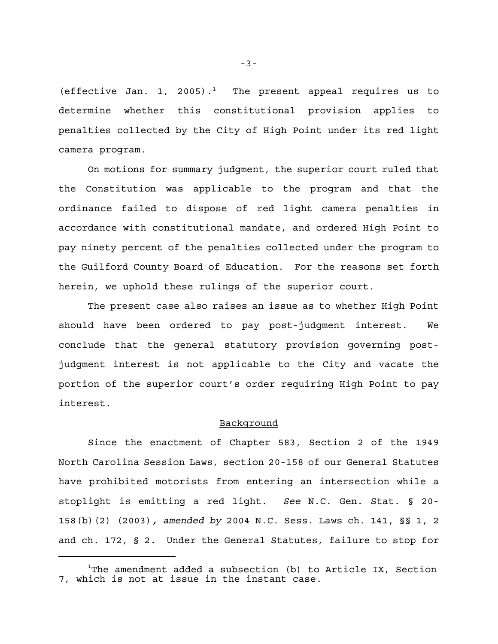(effective Jan. 1, 2005).<sup>1</sup> The present appeal requires us to determine whether this constitutional provision applies to penalties collected by the City of High Point under its red light camera program.

On motions for summary judgment, the superior court ruled that the Constitution was applicable to the program and that the ordinance failed to dispose of red light camera penalties in accordance with constitutional mandate, and ordered High Point to pay ninety percent of the penalties collected under the program to the Guilford County Board of Education. For the reasons set forth herein, we uphold these rulings of the superior court.

The present case also raises an issue as to whether High Point should have been ordered to pay post-judgment interest. We conclude that the general statutory provision governing postjudgment interest is not applicable to the City and vacate the portion of the superior court's order requiring High Point to pay interest.

### Background

Since the enactment of Chapter 583, Section 2 of the 1949 North Carolina Session Laws, section 20-158 of our General Statutes have prohibited motorists from entering an intersection while a stoplight is emitting a red light. *See* N.C. Gen. Stat. § 20- 158(b)(2) (2003)*, amended by* 2004 N.C. Sess. Laws ch. 141, §§ 1, 2 and ch. 172, § 2. Under the General Statutes, failure to stop for

-3-

 $1$ The amendment added a subsection (b) to Article IX, Section 7, which is not at issue in the instant case.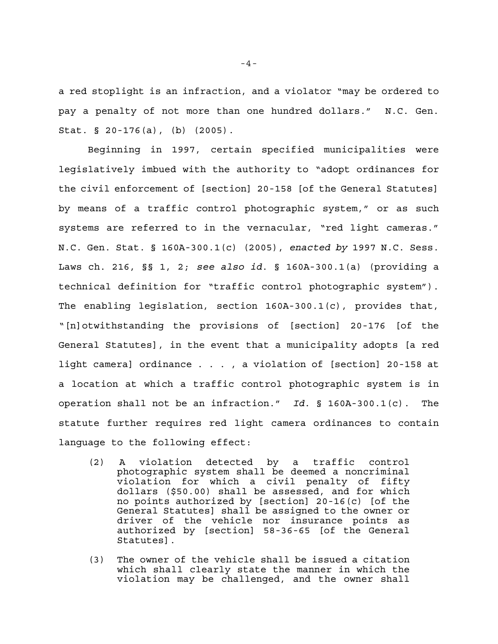a red stoplight is an infraction, and a violator "may be ordered to pay a penalty of not more than one hundred dollars." N.C. Gen. Stat. § 20-176(a), (b) (2005).

Beginning in 1997, certain specified municipalities were legislatively imbued with the authority to "adopt ordinances for the civil enforcement of [section] 20-158 [of the General Statutes] by means of a traffic control photographic system," or as such systems are referred to in the vernacular, "red light cameras." N.C. Gen. Stat. § 160A-300.1(c) (2005), *enacted by* 1997 N.C. Sess. Laws ch. 216, §§ 1, 2; *see also id*. § 160A-300.1(a) (providing a technical definition for "traffic control photographic system"). The enabling legislation, section 160A-300.1(c), provides that, "[n]otwithstanding the provisions of [section] 20-176 [of the General Statutes], in the event that a municipality adopts [a red light camera] ordinance . . . , a violation of [section] 20-158 at a location at which a traffic control photographic system is in operation shall not be an infraction." *Id*. § 160A-300.1(c). The statute further requires red light camera ordinances to contain language to the following effect:

- (2) A violation detected by a traffic control photographic system shall be deemed a noncriminal violation for which a civil penalty of fifty dollars (\$50.00) shall be assessed, and for which no points authorized by [section] 20-16(c) [of the General Statutes] shall be assigned to the owner or driver of the vehicle nor insurance points as authorized by [section] 58-36-65 [of the General Statutes].
- (3) The owner of the vehicle shall be issued a citation which shall clearly state the manner in which the violation may be challenged, and the owner shall

 $-4-$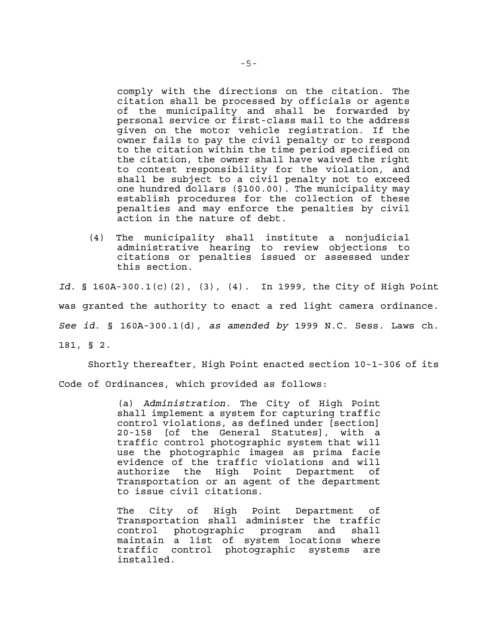comply with the directions on the citation. The citation shall be processed by officials or agents of the municipality and shall be forwarded by personal service or first-class mail to the address given on the motor vehicle registration. If the owner fails to pay the civil penalty or to respond to the citation within the time period specified on the citation, the owner shall have waived the right to contest responsibility for the violation, and shall be subject to a civil penalty not to exceed one hundred dollars (\$100.00). The municipality may establish procedures for the collection of these penalties and may enforce the penalties by civil action in the nature of debt.

(4) The municipality shall institute a nonjudicial administrative hearing to review objections to citations or penalties issued or assessed under this section.

*Id*. § 160A-300.1(c)(2), (3), (4). In 1999, the City of High Point was granted the authority to enact a red light camera ordinance. *See id*. § 160A-300.1(d), *as amended by* 1999 N.C. Sess. Laws ch. 181, § 2.

Shortly thereafter, High Point enacted section 10-1-306 of its Code of Ordinances, which provided as follows:

> (a) *Administration*. The City of High Point shall implement a system for capturing traffic control violations, as defined under [section] 20-158 [of the General Statutes], with a traffic control photographic system that will use the photographic images as prima facie evidence of the traffic violations and will authorize the High Point Department of Transportation or an agent of the department to issue civil citations.

> The City of High Point Department of Transportation shall administer the traffic control photographic program and shall maintain a list of system locations where traffic control photographic systems are installed.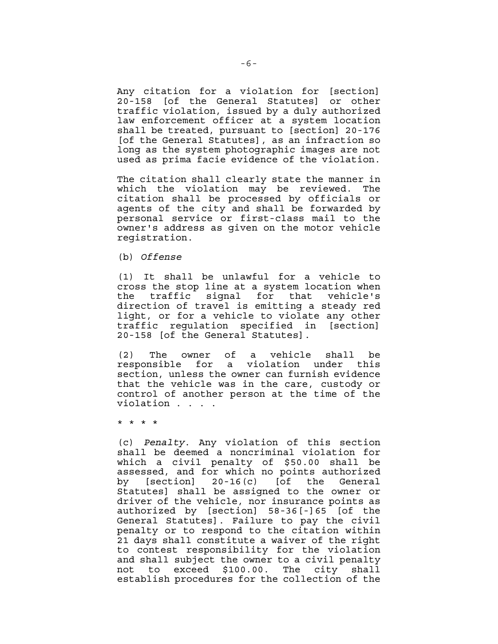Any citation for a violation for [section] 20-158 [of the General Statutes] or other traffic violation, issued by a duly authorized law enforcement officer at a system location shall be treated, pursuant to [section] 20-176 [of the General Statutes], as an infraction so long as the system photographic images are not used as prima facie evidence of the violation.

The citation shall clearly state the manner in which the violation may be reviewed. The citation shall be processed by officials or agents of the city and shall be forwarded by personal service or first-class mail to the owner's address as given on the motor vehicle registration.

(b) *Offense*

(1) It shall be unlawful for a vehicle to cross the stop line at a system location when the traffic signal for that vehicle's direction of travel is emitting a steady red light, or for a vehicle to violate any other traffic regulation specified in [section] 20-158 [of the General Statutes].

(2) The owner of a vehicle shall be responsible for a violation under this section, unless the owner can furnish evidence that the vehicle was in the care, custody or control of another person at the time of the violation . . . .

\* \* \* \*

(c) *Penalty*. Any violation of this section shall be deemed a noncriminal violation for which a civil penalty of \$50.00 shall be assessed, and for which no points authorized by [section] 20-16(c) [of the General Statutes] shall be assigned to the owner or driver of the vehicle, nor insurance points as authorized by [section] 58-36[-]65 [of the General Statutes]. Failure to pay the civil penalty or to respond to the citation within 21 days shall constitute a waiver of the right to contest responsibility for the violation and shall subject the owner to a civil penalty not to exceed \$100.00. The city shall establish procedures for the collection of the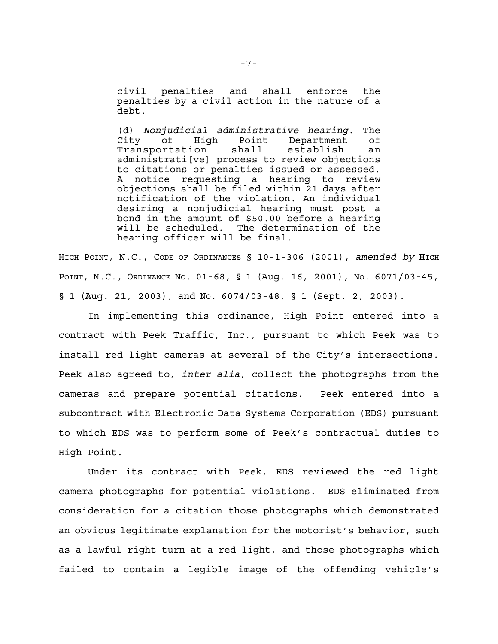civil penalties and shall enforce the penalties by a civil action in the nature of a debt.

(d) *Nonjudicial administrative hearing*. The City of High Point Department of Transportation shall establish an administrati[ve] process to review objections to citations or penalties issued or assessed. A notice requesting a hearing to review objections shall be filed within 21 days after notification of the violation. An individual desiring a nonjudicial hearing must post a bond in the amount of \$50.00 before a hearing will be scheduled. The determination of the hearing officer will be final.

HIGH POINT, N.C., CODE OF ORDINANCES § 10-1-306 (2001), *amended by* HIGH POINT, N.C., ORDINANCE NO. 01-68, § 1 (Aug. 16, 2001), NO. 6071/03-45,  $\S$  1 (Aug. 21, 2003), and No. 6074/03-48,  $\S$  1 (Sept. 2, 2003).

In implementing this ordinance, High Point entered into a contract with Peek Traffic, Inc., pursuant to which Peek was to install red light cameras at several of the City's intersections. Peek also agreed to, *inter alia*, collect the photographs from the cameras and prepare potential citations. Peek entered into a subcontract with Electronic Data Systems Corporation (EDS) pursuant to which EDS was to perform some of Peek's contractual duties to High Point.

Under its contract with Peek, EDS reviewed the red light camera photographs for potential violations. EDS eliminated from consideration for a citation those photographs which demonstrated an obvious legitimate explanation for the motorist's behavior, such as a lawful right turn at a red light, and those photographs which failed to contain a legible image of the offending vehicle's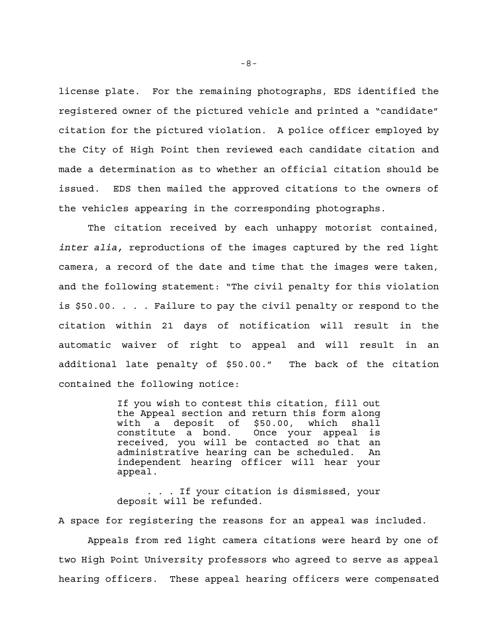license plate. For the remaining photographs, EDS identified the registered owner of the pictured vehicle and printed a "candidate" citation for the pictured violation. A police officer employed by the City of High Point then reviewed each candidate citation and made a determination as to whether an official citation should be issued. EDS then mailed the approved citations to the owners of the vehicles appearing in the corresponding photographs.

The citation received by each unhappy motorist contained, *inter alia,* reproductions of the images captured by the red light camera, a record of the date and time that the images were taken, and the following statement: "The civil penalty for this violation is \$50.00. . . . Failure to pay the civil penalty or respond to the citation within 21 days of notification will result in the automatic waiver of right to appeal and will result in an additional late penalty of \$50.00." The back of the citation contained the following notice:

> If you wish to contest this citation, fill out the Appeal section and return this form along with a deposit of \$50.00, which shall constitute a bond. Once your appeal is received, you will be contacted so that an administrative hearing can be scheduled. An independent hearing officer will hear your appeal.

> . . . If your citation is dismissed, your deposit will be refunded.

A space for registering the reasons for an appeal was included.

Appeals from red light camera citations were heard by one of two High Point University professors who agreed to serve as appeal hearing officers. These appeal hearing officers were compensated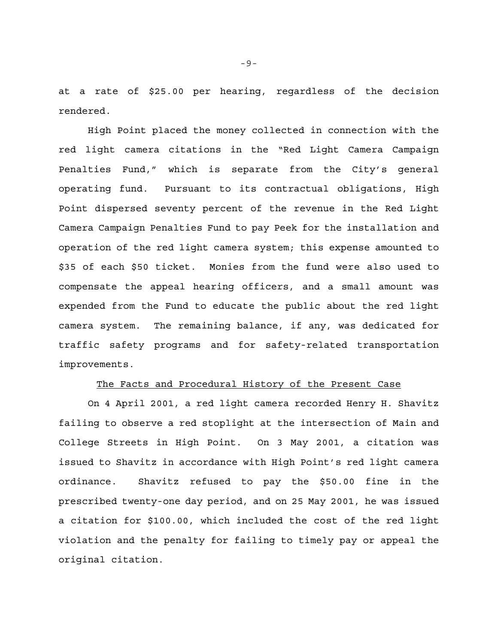at a rate of \$25.00 per hearing, regardless of the decision rendered.

High Point placed the money collected in connection with the red light camera citations in the "Red Light Camera Campaign Penalties Fund," which is separate from the City's general operating fund. Pursuant to its contractual obligations, High Point dispersed seventy percent of the revenue in the Red Light Camera Campaign Penalties Fund to pay Peek for the installation and operation of the red light camera system; this expense amounted to \$35 of each \$50 ticket. Monies from the fund were also used to compensate the appeal hearing officers, and a small amount was expended from the Fund to educate the public about the red light camera system. The remaining balance, if any, was dedicated for traffic safety programs and for safety-related transportation improvements.

### The Facts and Procedural History of the Present Case

On 4 April 2001, a red light camera recorded Henry H. Shavitz failing to observe a red stoplight at the intersection of Main and College Streets in High Point. On 3 May 2001, a citation was issued to Shavitz in accordance with High Point's red light camera ordinance. Shavitz refused to pay the \$50.00 fine in the prescribed twenty-one day period, and on 25 May 2001, he was issued a citation for \$100.00, which included the cost of the red light violation and the penalty for failing to timely pay or appeal the original citation.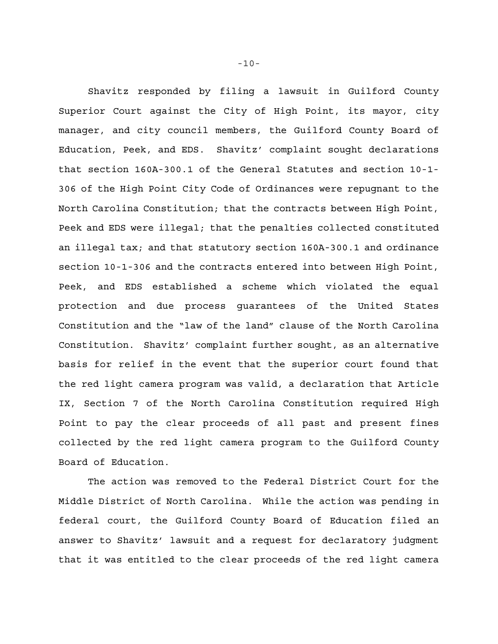Shavitz responded by filing a lawsuit in Guilford County Superior Court against the City of High Point, its mayor, city manager, and city council members, the Guilford County Board of Education, Peek, and EDS. Shavitz' complaint sought declarations that section 160A-300.1 of the General Statutes and section 10-1- 306 of the High Point City Code of Ordinances were repugnant to the North Carolina Constitution; that the contracts between High Point, Peek and EDS were illegal; that the penalties collected constituted an illegal tax; and that statutory section 160A-300.1 and ordinance section 10-1-306 and the contracts entered into between High Point, Peek, and EDS established a scheme which violated the equal protection and due process guarantees of the United States Constitution and the "law of the land" clause of the North Carolina Constitution. Shavitz' complaint further sought, as an alternative basis for relief in the event that the superior court found that the red light camera program was valid, a declaration that Article IX, Section 7 of the North Carolina Constitution required High Point to pay the clear proceeds of all past and present fines collected by the red light camera program to the Guilford County Board of Education.

The action was removed to the Federal District Court for the Middle District of North Carolina. While the action was pending in federal court, the Guilford County Board of Education filed an answer to Shavitz' lawsuit and a request for declaratory judgment that it was entitled to the clear proceeds of the red light camera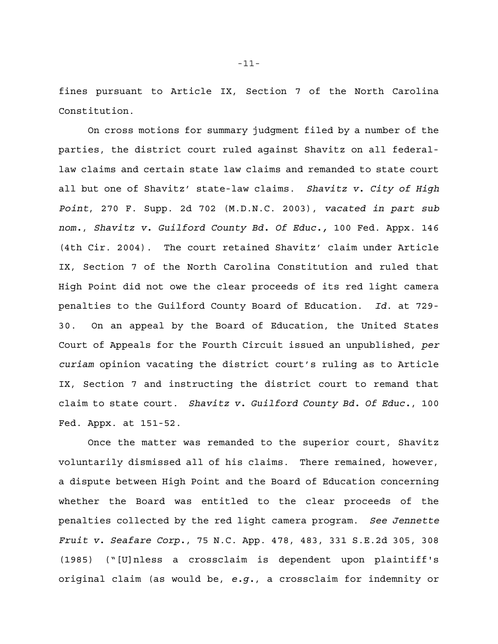fines pursuant to Article IX, Section 7 of the North Carolina Constitution.

On cross motions for summary judgment filed by a number of the parties, the district court ruled against Shavitz on all federallaw claims and certain state law claims and remanded to state court all but one of Shavitz' state-law claims. *Shavitz v. City of High Point*, 270 F. Supp. 2d 702 (M.D.N.C. 2003), *vacated in part sub nom.*, *Shavitz v. Guilford County Bd. Of Educ.,* 100 Fed. Appx. 146 (4th Cir. 2004). The court retained Shavitz' claim under Article IX, Section 7 of the North Carolina Constitution and ruled that High Point did not owe the clear proceeds of its red light camera penalties to the Guilford County Board of Education. *Id*. at 729- 30. On an appeal by the Board of Education, the United States Court of Appeals for the Fourth Circuit issued an unpublished, *per curiam* opinion vacating the district court's ruling as to Article IX, Section 7 and instructing the district court to remand that claim to state court. *Shavitz v. Guilford County Bd. Of Educ.*, 100 Fed. Appx. at 151-52.

Once the matter was remanded to the superior court, Shavitz voluntarily dismissed all of his claims. There remained, however, a dispute between High Point and the Board of Education concerning whether the Board was entitled to the clear proceeds of the penalties collected by the red light camera program. *See Jennette Fruit v. Seafare Corp.*, 75 N.C. App. 478, 483, 331 S.E.2d 305, 308 (1985) ("[U]nless a crossclaim is dependent upon plaintiff's original claim (as would be, *e.g.*, a crossclaim for indemnity or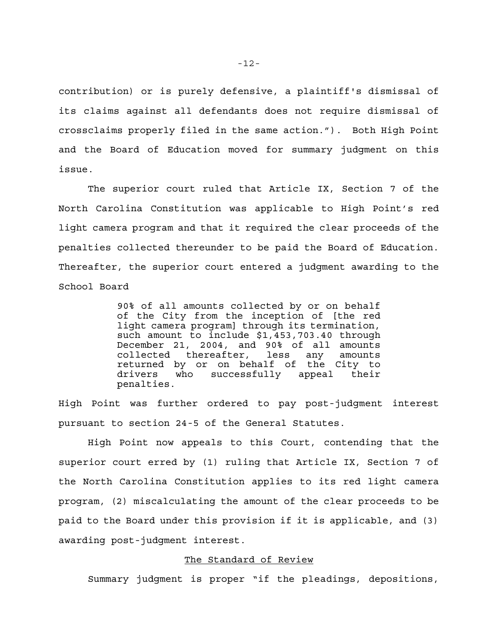contribution) or is purely defensive, a plaintiff's dismissal of its claims against all defendants does not require dismissal of crossclaims properly filed in the same action."). Both High Point and the Board of Education moved for summary judgment on this issue.

The superior court ruled that Article IX, Section 7 of the North Carolina Constitution was applicable to High Point's red light camera program and that it required the clear proceeds of the penalties collected thereunder to be paid the Board of Education. Thereafter, the superior court entered a judgment awarding to the School Board

> 90% of all amounts collected by or on behalf of the City from the inception of [the red light camera program] through its termination, such amount to include \$1,453,703.40 through December 21, 2004, and 90% of all amounts collected thereafter, less any amounts returned by or on behalf of the City to drivers who successfully appeal their penalties.

High Point was further ordered to pay post-judgment interest pursuant to section 24-5 of the General Statutes.

High Point now appeals to this Court, contending that the superior court erred by (1) ruling that Article IX, Section 7 of the North Carolina Constitution applies to its red light camera program, (2) miscalculating the amount of the clear proceeds to be paid to the Board under this provision if it is applicable, and (3) awarding post-judgment interest.

## The Standard of Review

Summary judgment is proper "if the pleadings, depositions,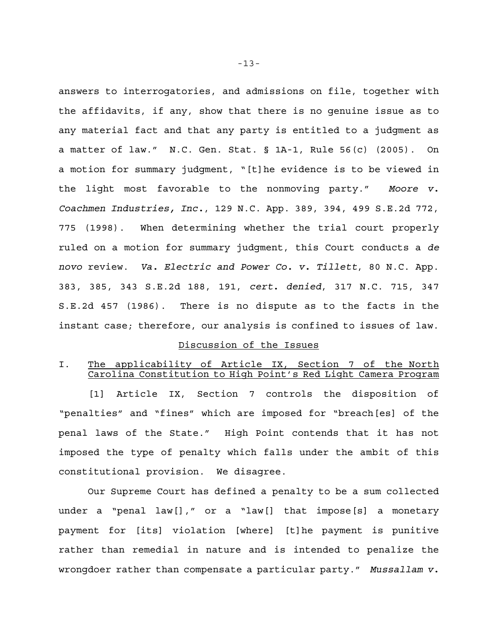answers to interrogatories, and admissions on file, together with the affidavits, if any, show that there is no genuine issue as to any material fact and that any party is entitled to a judgment as a matter of law." N.C. Gen. Stat. § 1A-1, Rule 56(c) (2005). On a motion for summary judgment, "[t]he evidence is to be viewed in the light most favorable to the nonmoving party." *Moore v. Coachmen Industries, Inc.*, 129 N.C. App. 389, 394, 499 S.E.2d 772, 775 (1998). When determining whether the trial court properly ruled on a motion for summary judgment, this Court conducts a *de novo* review. *Va. Electric and Power Co. v. Tillett*, 80 N.C. App. 383, 385, 343 S.E.2d 188, 191, *cert. denied*, 317 N.C. 715, 347 S.E.2d 457 (1986). There is no dispute as to the facts in the instant case; therefore, our analysis is confined to issues of law.

### Discussion of the Issues

## I. The applicability of Article IX, Section 7 of the North Carolina Constitution to High Point's Red Light Camera Program

[1] Article IX, Section 7 controls the disposition of "penalties" and "fines" which are imposed for "breach[es] of the penal laws of the State." High Point contends that it has not imposed the type of penalty which falls under the ambit of this constitutional provision. We disagree.

Our Supreme Court has defined a penalty to be a sum collected under a "penal law[]," or a "law[] that impose[s] a monetary payment for [its] violation [where] [t]he payment is punitive rather than remedial in nature and is intended to penalize the wrongdoer rather than compensate a particular party." *Mussallam v.*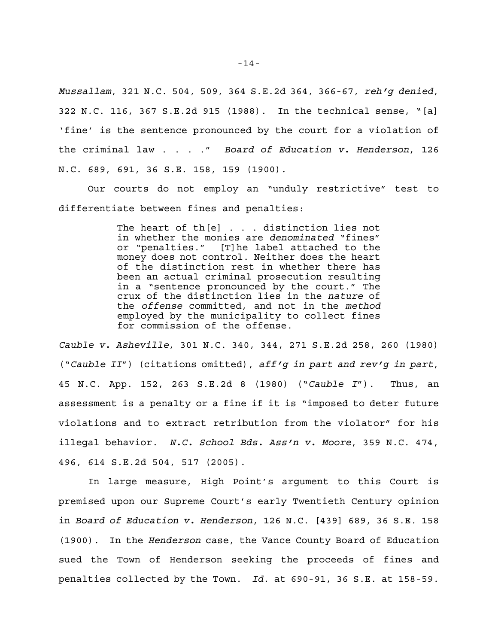*Mussallam*, 321 N.C. 504, 509, 364 S.E.2d 364, 366-67, *reh'g denied*, 322 N.C. 116, 367 S.E.2d 915 (1988). In the technical sense, "[a] 'fine' is the sentence pronounced by the court for a violation of the criminal law . . . ." *Board of Education v. Henderson*, 126 N.C. 689, 691, 36 S.E. 158, 159 (1900).

Our courts do not employ an "unduly restrictive" test to differentiate between fines and penalties:

> The heart of th[e] . . . distinction lies not in whether the monies are *denominated* "fines" or "penalties." [T]he label attached to the money does not control. Neither does the heart of the distinction rest in whether there has been an actual criminal prosecution resulting in a "sentence pronounced by the court." The crux of the distinction lies in the *nature* of the *offense* committed, and not in the *method* employed by the municipality to collect fines for commission of the offense.

*Cauble v. Asheville*, 301 N.C. 340, 344, 271 S.E.2d 258, 260 (1980) ("*Cauble II*") (citations omitted), *aff'g in part and rev'g in part*, 45 N.C. App. 152, 263 S.E.2d 8 (1980) ("*Cauble I*"). Thus, an assessment is a penalty or a fine if it is "imposed to deter future violations and to extract retribution from the violator" for his illegal behavior. *N.C. School Bds. Ass'n v. Moore*, 359 N.C. 474, 496, 614 S.E.2d 504, 517 (2005).

In large measure, High Point's argument to this Court is premised upon our Supreme Court's early Twentieth Century opinion in *Board of Education v. Henderson*, 126 N.C. [439] 689, 36 S.E. 158 (1900). In the *Henderson* case, the Vance County Board of Education sued the Town of Henderson seeking the proceeds of fines and penalties collected by the Town. *Id*. at 690-91, 36 S.E. at 158-59.

-14-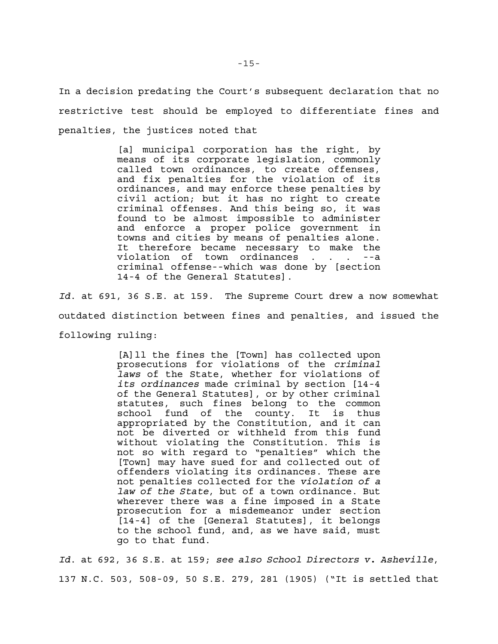In a decision predating the Court's subsequent declaration that no restrictive test should be employed to differentiate fines and penalties, the justices noted that

> [a] municipal corporation has the right, by means of its corporate legislation, commonly called town ordinances, to create offenses, and fix penalties for the violation of its ordinances, and may enforce these penalties by civil action; but it has no right to create criminal offenses. And this being so, it was found to be almost impossible to administer and enforce a proper police government in towns and cities by means of penalties alone. It therefore became necessary to make the violation of town ordinances . . . --a criminal offense--which was done by [section 14-4 of the General Statutes].

*Id*. at 691, 36 S.E. at 159. The Supreme Court drew a now somewhat outdated distinction between fines and penalties, and issued the following ruling:

> [A]ll the fines the [Town] has collected upon prosecutions for violations of the *criminal laws* of the State, whether for violations of *its ordinances* made criminal by section [14-4 of the General Statutes], or by other criminal statutes, such fines belong to the common school fund of the county. It is thus appropriated by the Constitution, and it can not be diverted or withheld from this fund without violating the Constitution. This is not so with regard to "penalties" which the [Town] may have sued for and collected out of offenders violating its ordinances. These are not penalties collected for the *violation of a law of the State*, but of a town ordinance. But wherever there was a fine imposed in a State prosecution for a misdemeanor under section [14-4] of the [General Statutes], it belongs to the school fund, and, as we have said, must go to that fund.

*Id*. at 692, 36 S.E. at 159; *see also School Directors v. Asheville*, 137 N.C. 503, 508-09, 50 S.E. 279, 281 (1905) ("It is settled that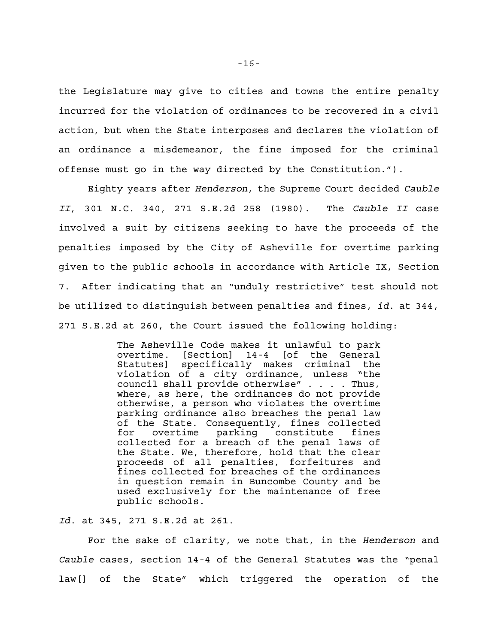the Legislature may give to cities and towns the entire penalty incurred for the violation of ordinances to be recovered in a civil action, but when the State interposes and declares the violation of an ordinance a misdemeanor, the fine imposed for the criminal offense must go in the way directed by the Constitution.").

Eighty years after *Henderson*, the Supreme Court decided *Cauble II*, 301 N.C. 340, 271 S.E.2d 258 (1980). The *Cauble II* case involved a suit by citizens seeking to have the proceeds of the penalties imposed by the City of Asheville for overtime parking given to the public schools in accordance with Article IX, Section 7. After indicating that an "unduly restrictive" test should not be utilized to distinguish between penalties and fines, *id*. at 344, 271 S.E.2d at 260, the Court issued the following holding:

> The Asheville Code makes it unlawful to park overtime. [Section] 14-4 [of the General Statutes] specifically makes criminal the violation of a city ordinance, unless "the council shall provide otherwise" . . . . Thus, where, as here, the ordinances do not provide otherwise, a person who violates the overtime parking ordinance also breaches the penal law of the State. Consequently, fines collected for overtime parking constitute fines collected for a breach of the penal laws of the State. We, therefore, hold that the clear proceeds of all penalties, forfeitures and fines collected for breaches of the ordinances in question remain in Buncombe County and be used exclusively for the maintenance of free public schools.

*Id*. at 345, 271 S.E.2d at 261.

For the sake of clarity, we note that, in the *Henderson* and *Cauble* cases, section 14-4 of the General Statutes was the "penal law[] of the State" which triggered the operation of the

-16-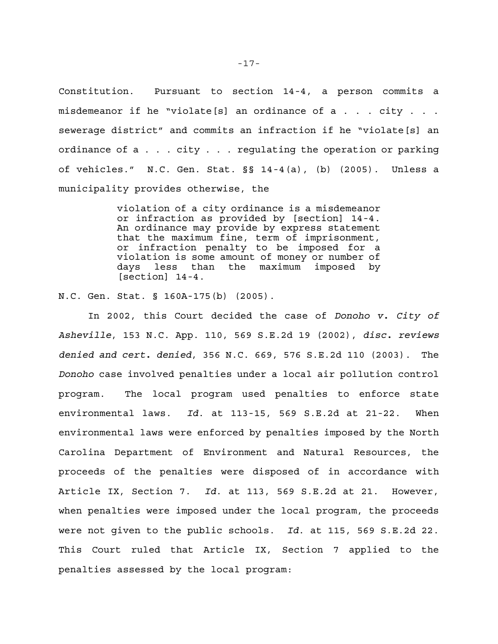Constitution. Pursuant to section 14-4, a person commits a misdemeanor if he "violate[s] an ordinance of a . . . city . . . sewerage district" and commits an infraction if he "violate[s] an ordinance of a . . . city . . . regulating the operation or parking of vehicles." N.C. Gen. Stat. §§ 14-4(a), (b) (2005). Unless a municipality provides otherwise, the

> violation of a city ordinance is a misdemeanor or infraction as provided by [section] 14-4. An ordinance may provide by express statement that the maximum fine, term of imprisonment, or infraction penalty to be imposed for a violation is some amount of money or number of days less than the maximum imposed by [section] 14-4.

N.C. Gen. Stat. § 160A-175(b) (2005).

In 2002, this Court decided the case of *Donoho v. City of Asheville*, 153 N.C. App. 110, 569 S.E.2d 19 (2002), *disc. reviews denied and cert. denied*, 356 N.C. 669, 576 S.E.2d 110 (2003). The *Donoho* case involved penalties under a local air pollution control program. The local program used penalties to enforce state environmental laws. *Id*. at 113-15, 569 S.E.2d at 21-22. When environmental laws were enforced by penalties imposed by the North Carolina Department of Environment and Natural Resources, the proceeds of the penalties were disposed of in accordance with Article IX, Section 7. *Id*. at 113, 569 S.E.2d at 21. However, when penalties were imposed under the local program, the proceeds were not given to the public schools. *Id*. at 115, 569 S.E.2d 22. This Court ruled that Article IX, Section 7 applied to the penalties assessed by the local program: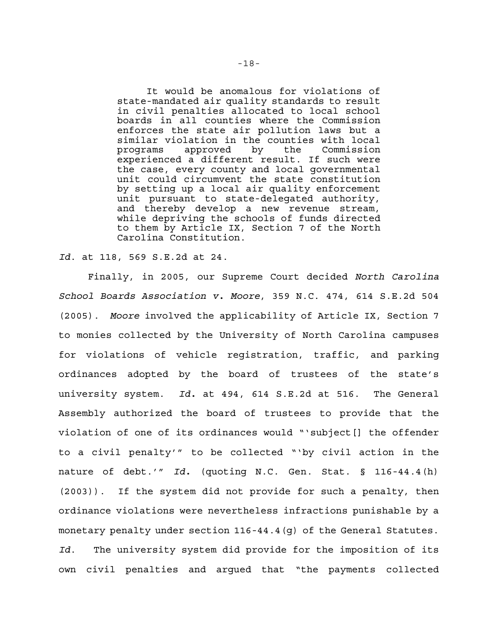It would be anomalous for violations of state-mandated air quality standards to result in civil penalties allocated to local school boards in all counties where the Commission enforces the state air pollution laws but a similar violation in the counties with local programs approved by the Commission experienced a different result. If such were the case, every county and local governmental unit could circumvent the state constitution by setting up a local air quality enforcement unit pursuant to state-delegated authority, and thereby develop a new revenue stream, while depriving the schools of funds directed to them by Article IX, Section 7 of the North Carolina Constitution.

## *Id*. at 118, 569 S.E.2d at 24.

Finally, in 2005, our Supreme Court decided *North Carolina School Boards Association v. Moore*, 359 N.C. 474, 614 S.E.2d 504 (2005). *Moore* involved the applicability of Article IX, Section 7 to monies collected by the University of North Carolina campuses for violations of vehicle registration, traffic, and parking ordinances adopted by the board of trustees of the state's university system. *Id.* at 494, 614 S.E.2d at 516. The General Assembly authorized the board of trustees to provide that the violation of one of its ordinances would "'subject[] the offender to a civil penalty'" to be collected "'by civil action in the nature of debt.'" *Id.* (quoting N.C. Gen. Stat. § 116-44.4(h) (2003)). If the system did not provide for such a penalty, then ordinance violations were nevertheless infractions punishable by a monetary penalty under section 116-44.4(g) of the General Statutes. *Id*. The university system did provide for the imposition of its own civil penalties and argued that "the payments collected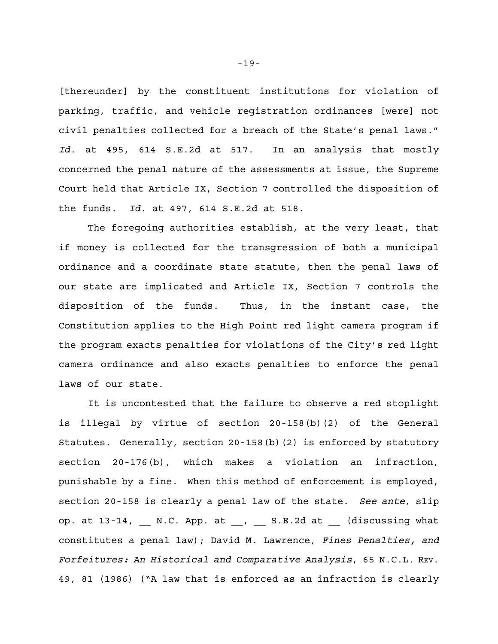[thereunder] by the constituent institutions for violation of parking, traffic, and vehicle registration ordinances [were] not civil penalties collected for a breach of the State's penal laws." *Id*. at 495, 614 S.E.2d at 517. In an analysis that mostly concerned the penal nature of the assessments at issue, the Supreme Court held that Article IX, Section 7 controlled the disposition of the funds. *Id*. at 497, 614 S.E.2d at 518.

The foregoing authorities establish, at the very least, that if money is collected for the transgression of both a municipal ordinance and a coordinate state statute, then the penal laws of our state are implicated and Article IX, Section 7 controls the disposition of the funds. Thus, in the instant case, the Constitution applies to the High Point red light camera program if the program exacts penalties for violations of the City's red light camera ordinance and also exacts penalties to enforce the penal laws of our state.

It is uncontested that the failure to observe a red stoplight is illegal by virtue of section 20-158(b)(2) of the General Statutes. Generally, section 20-158(b)(2) is enforced by statutory section 20-176(b), which makes a violation an infraction, punishable by a fine. When this method of enforcement is employed, section 20-158 is clearly a penal law of the state. *See ante*, slip op. at  $13-14$ , \_\_ N.C. App. at \_\_, \_\_ S.E.2d at \_\_ (discussing what constitutes a penal law); David M. Lawrence, *Fines Penalties, and Forfeitures: An Historical and Comparative Analysis*, 65 N.C.L. REV. 49, 81 (1986) ("A law that is enforced as an infraction is clearly

-19-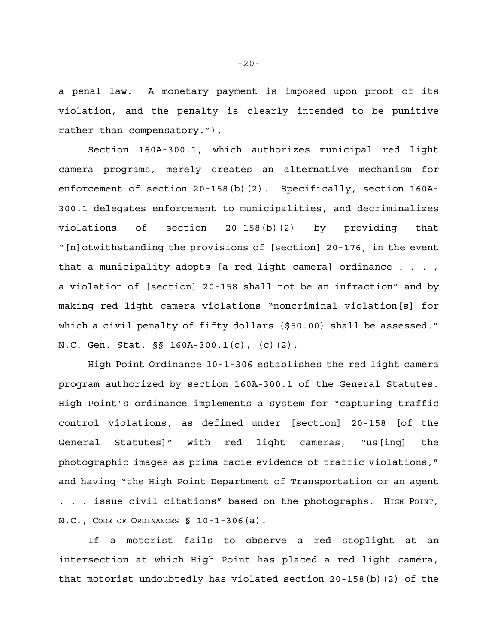a penal law. A monetary payment is imposed upon proof of its violation, and the penalty is clearly intended to be punitive rather than compensatory.").

Section 160A-300.1, which authorizes municipal red light camera programs, merely creates an alternative mechanism for enforcement of section 20-158(b)(2). Specifically, section 160A-300.1 delegates enforcement to municipalities, and decriminalizes violations of section 20-158(b)(2) by providing that "[n]otwithstanding the provisions of [section] 20-176, in the event that a municipality adopts [a red light camera] ordinance . . . , a violation of [section] 20-158 shall not be an infraction" and by making red light camera violations "noncriminal violation[s] for which a civil penalty of fifty dollars (\$50.00) shall be assessed." N.C. Gen. Stat. §§ 160A-300.1(c), (c)(2).

High Point Ordinance 10-1-306 establishes the red light camera program authorized by section 160A-300.1 of the General Statutes. High Point's ordinance implements a system for "capturing traffic control violations, as defined under [section] 20-158 [of the General Statutes]" with red light cameras, "us[ing] the photographic images as prima facie evidence of traffic violations," and having "the High Point Department of Transportation or an agent . . . issue civil citations" based on the photographs. HIGH POINT, N.C., CODE OF ORDINANCES § 10-1-306(a).

If a motorist fails to observe a red stoplight at an intersection at which High Point has placed a red light camera, that motorist undoubtedly has violated section 20-158(b)(2) of the

-20-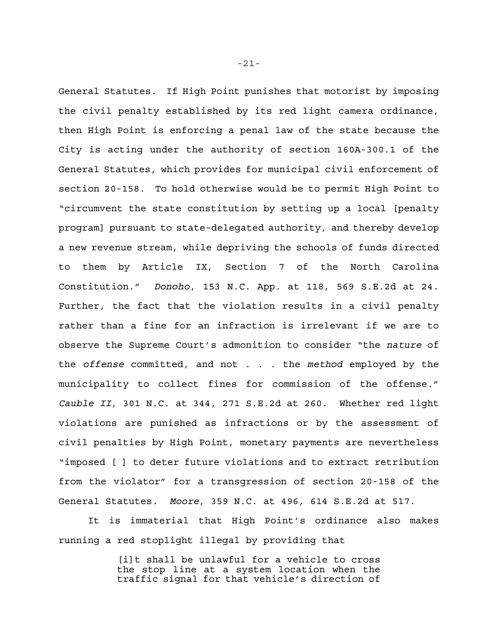General Statutes. If High Point punishes that motorist by imposing the civil penalty established by its red light camera ordinance, then High Point is enforcing a penal law of the state because the City is acting under the authority of section 160A-300.1 of the General Statutes, which provides for municipal civil enforcement of section 20-158. To hold otherwise would be to permit High Point to "circumvent the state constitution by setting up a local [penalty program] pursuant to state-delegated authority, and thereby develop a new revenue stream, while depriving the schools of funds directed to them by Article IX, Section 7 of the North Carolina Constitution." *Donoho*, 153 N.C. App. at 118, 569 S.E.2d at 24. Further, the fact that the violation results in a civil penalty rather than a fine for an infraction is irrelevant if we are to observe the Supreme Court's admonition to consider "the *nature* of the *offense* committed, and not . . . the *method* employed by the municipality to collect fines for commission of the offense." *Cauble II*, 301 N.C. at 344, 271 S.E.2d at 260. Whether red light violations are punished as infractions or by the assessment of civil penalties by High Point, monetary payments are nevertheless "imposed [ ] to deter future violations and to extract retribution from the violator" for a transgression of section 20-158 of the General Statutes. *Moore*, 359 N.C. at 496, 614 S.E.2d at 517.

It is immaterial that High Point's ordinance also makes running a red stoplight illegal by providing that

> [i]t shall be unlawful for a vehicle to cross the stop line at a system location when the traffic signal for that vehicle's direction of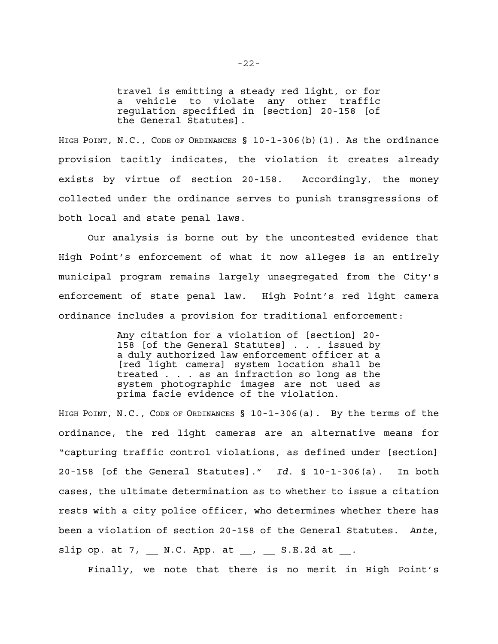travel is emitting a steady red light, or for a vehicle to violate any other traffic regulation specified in [section] 20-158 [of the General Statutes].

HIGH POINT, N.C., CODE OF ORDINANCES § 10-1-306(b)(1). As the ordinance provision tacitly indicates, the violation it creates already exists by virtue of section 20-158. Accordingly, the money collected under the ordinance serves to punish transgressions of both local and state penal laws.

Our analysis is borne out by the uncontested evidence that High Point's enforcement of what it now alleges is an entirely municipal program remains largely unsegregated from the City's enforcement of state penal law. High Point's red light camera ordinance includes a provision for traditional enforcement:

> Any citation for a violation of [section] 20- 158 [of the General Statutes] . . . issued by a duly authorized law enforcement officer at a [red light camera] system location shall be treated . . . as an infraction so long as the system photographic images are not used as prima facie evidence of the violation.

HIGH POINT, N.C., CODE OF ORDINANCES § 10-1-306(a). By the terms of the ordinance, the red light cameras are an alternative means for "capturing traffic control violations, as defined under [section] 20-158 [of the General Statutes]." *Id*. § 10-1-306(a). In both cases, the ultimate determination as to whether to issue a citation rests with a city police officer, who determines whether there has been a violation of section 20-158 of the General Statutes. *Ante*, slip op. at  $7$ ,  $N.C.$  App. at ,  $S.E.2d$  at .

Finally, we note that there is no merit in High Point's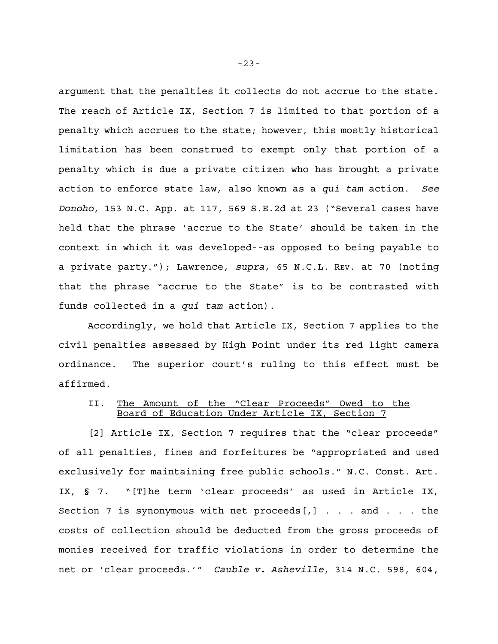argument that the penalties it collects do not accrue to the state. The reach of Article IX, Section 7 is limited to that portion of a penalty which accrues to the state; however, this mostly historical limitation has been construed to exempt only that portion of a penalty which is due a private citizen who has brought a private action to enforce state law, also known as a *qui tam* action. *See Donoho*, 153 N.C. App. at 117, 569 S.E.2d at 23 ("Several cases have held that the phrase 'accrue to the State' should be taken in the context in which it was developed--as opposed to being payable to a private party."); Lawrence, *supra*, 65 N.C.L. REV. at 70 (noting that the phrase "accrue to the State" is to be contrasted with funds collected in a *qui tam* action).

Accordingly, we hold that Article IX, Section 7 applies to the civil penalties assessed by High Point under its red light camera ordinance. The superior court's ruling to this effect must be affirmed.

# II. The Amount of the "Clear Proceeds" Owed to the Board of Education Under Article IX, Section 7

[2] Article IX, Section 7 requires that the "clear proceeds" of all penalties, fines and forfeitures be "appropriated and used exclusively for maintaining free public schools." N.C. Const. Art. IX, § 7. "[T]he term 'clear proceeds' as used in Article IX, Section 7 is synonymous with net proceeds[,] . . . and . . . the costs of collection should be deducted from the gross proceeds of monies received for traffic violations in order to determine the net or 'clear proceeds.'" *Cauble v. Asheville*, 314 N.C. 598, 604,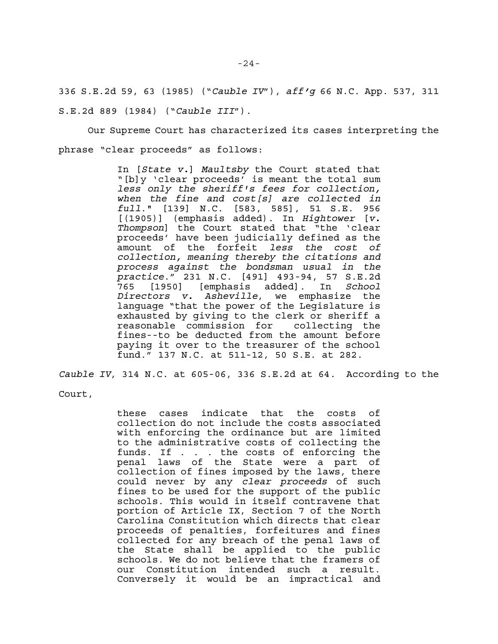336 S.E.2d 59, 63 (1985) ("*Cauble IV*"), *aff'g* 66 N.C. App. 537, 311 S.E.2d 889 (1984) ("*Cauble III*").

Our Supreme Court has characterized its cases interpreting the phrase "clear proceeds" as follows:

> In [*State v.*] *Maultsby* the Court stated that "[b]y 'clear proceeds' is meant the total sum *less only the sheriff's fees for collection, when the fine and cost[s] are collected in full*." [139] N.C. [583, 585], 51 S.E. 956 [(1905)] (emphasis added). In *Hightower* [*v. Thompson*] the Court stated that "the 'clear proceeds' have been judicially defined as the amount of the forfeit *less the cost of collection, meaning thereby the citations and process against the bondsman usual in the practice*." 231 N.C. [491] 493-94, 57 S.E.2d 765 [1950] [emphasis added]. In *School Directors v. Asheville*, we emphasize the language "that the power of the Legislature is exhausted by giving to the clerk or sheriff a reasonable commission for collecting the fines--to be deducted from the amount before paying it over to the treasurer of the school fund." 137 N.C. at 511-12, 50 S.E. at 282.

*Cauble IV*, 314 N.C. at 605-06, 336 S.E.2d at 64. According to the

Court,

these cases indicate that the costs of collection do not include the costs associated with enforcing the ordinance but are limited to the administrative costs of collecting the funds. If . . . the costs of enforcing the penal laws of the State were a part of collection of fines imposed by the laws, there could never by any *clear proceeds* of such fines to be used for the support of the public schools. This would in itself contravene that portion of Article IX, Section 7 of the North Carolina Constitution which directs that clear proceeds of penalties, forfeitures and fines collected for any breach of the penal laws of the State shall be applied to the public schools. We do not believe that the framers of our Constitution intended such a result. Conversely it would be an impractical and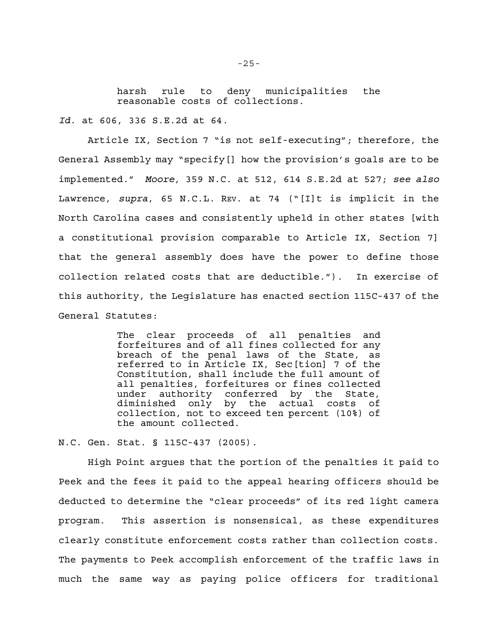harsh rule to deny municipalities the reasonable costs of collections.

*Id*. at 606, 336 S.E.2d at 64.

Article IX, Section 7 "is not self-executing"; therefore, the General Assembly may "specify[] how the provision's goals are to be implemented." *Moore*, 359 N.C. at 512, 614 S.E.2d at 527; *see also* Lawrence, *supra*, 65 N.C.L. REV. at 74 ("[I]t is implicit in the North Carolina cases and consistently upheld in other states [with a constitutional provision comparable to Article IX, Section 7] that the general assembly does have the power to define those collection related costs that are deductible."). In exercise of this authority, the Legislature has enacted section 115C-437 of the General Statutes:

> The clear proceeds of all penalties and forfeitures and of all fines collected for any breach of the penal laws of the State, as referred to in Article IX, Sec[tion] 7 of the Constitution, shall include the full amount of all penalties, forfeitures or fines collected under authority conferred by the State, diminished only by the actual costs of collection, not to exceed ten percent (10%) of the amount collected.

N.C. Gen. Stat. § 115C-437 (2005).

High Point argues that the portion of the penalties it paid to Peek and the fees it paid to the appeal hearing officers should be deducted to determine the "clear proceeds" of its red light camera program. This assertion is nonsensical, as these expenditures clearly constitute enforcement costs rather than collection costs. The payments to Peek accomplish enforcement of the traffic laws in much the same way as paying police officers for traditional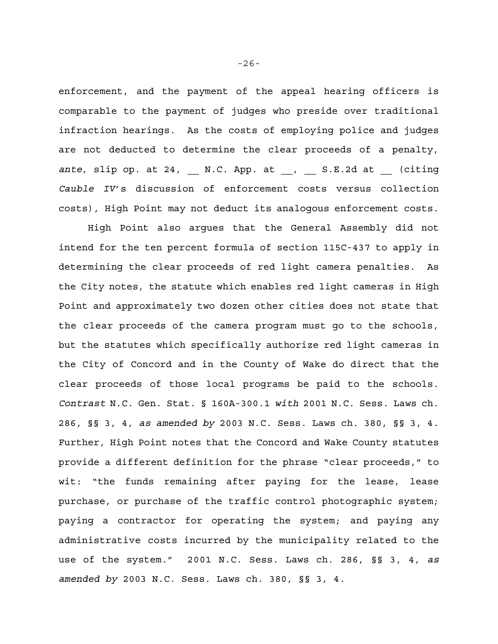enforcement, and the payment of the appeal hearing officers is comparable to the payment of judges who preside over traditional infraction hearings. As the costs of employing police and judges are not deducted to determine the clear proceeds of a penalty, ante, slip op. at 24, N.C. App. at , S.E.2d at (citing *Cauble IV*'s discussion of enforcement costs versus collection costs), High Point may not deduct its analogous enforcement costs.

High Point also argues that the General Assembly did not intend for the ten percent formula of section 115C-437 to apply in determining the clear proceeds of red light camera penalties. As the City notes, the statute which enables red light cameras in High Point and approximately two dozen other cities does not state that the clear proceeds of the camera program must go to the schools, but the statutes which specifically authorize red light cameras in the City of Concord and in the County of Wake do direct that the clear proceeds of those local programs be paid to the schools. *Contrast* N.C. Gen. Stat. § 160A-300.1 *with* 2001 N.C. Sess. Laws ch. 286, §§ 3, 4, *as amended by* 2003 N.C. Sess. Laws ch. 380, §§ 3, 4. Further, High Point notes that the Concord and Wake County statutes provide a different definition for the phrase "clear proceeds," to wit: "the funds remaining after paying for the lease, lease purchase, or purchase of the traffic control photographic system; paying a contractor for operating the system; and paying any administrative costs incurred by the municipality related to the use of the system." 2001 N.C. Sess. Laws ch. 286, §§ 3, 4, *as amended by* 2003 N.C. Sess. Laws ch. 380, §§ 3, 4.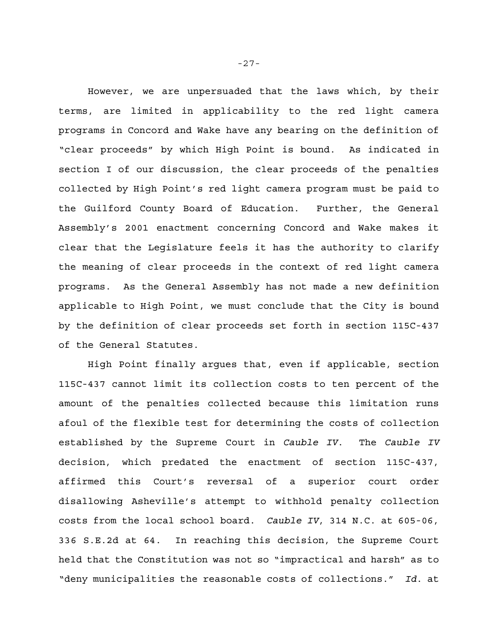However, we are unpersuaded that the laws which, by their terms, are limited in applicability to the red light camera programs in Concord and Wake have any bearing on the definition of "clear proceeds" by which High Point is bound. As indicated in section I of our discussion, the clear proceeds of the penalties collected by High Point's red light camera program must be paid to the Guilford County Board of Education. Further, the General Assembly's 2001 enactment concerning Concord and Wake makes it clear that the Legislature feels it has the authority to clarify the meaning of clear proceeds in the context of red light camera programs. As the General Assembly has not made a new definition applicable to High Point, we must conclude that the City is bound by the definition of clear proceeds set forth in section 115C-437 of the General Statutes.

High Point finally argues that, even if applicable, section 115C-437 cannot limit its collection costs to ten percent of the amount of the penalties collected because this limitation runs afoul of the flexible test for determining the costs of collection established by the Supreme Court in *Cauble IV*. The *Cauble IV* decision, which predated the enactment of section 115C-437, affirmed this Court's reversal of a superior court order disallowing Asheville's attempt to withhold penalty collection costs from the local school board. *Cauble IV*, 314 N.C. at 605-06, 336 S.E.2d at 64. In reaching this decision, the Supreme Court held that the Constitution was not so "impractical and harsh" as to "deny municipalities the reasonable costs of collections." *Id*. at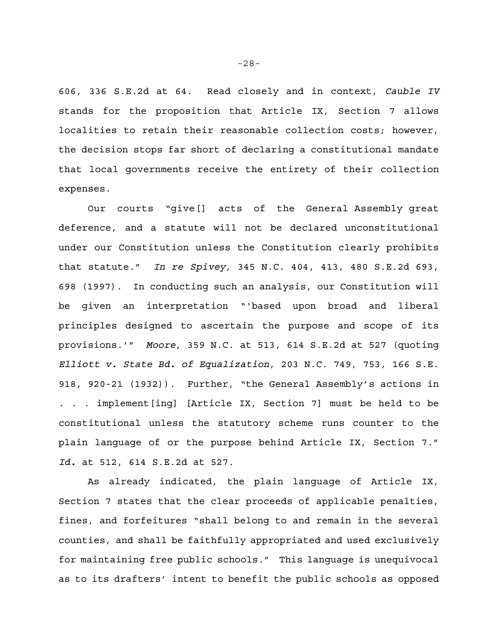606, 336 S.E.2d at 64. Read closely and in context, *Cauble IV* stands for the proposition that Article IX, Section 7 allows localities to retain their reasonable collection costs; however, the decision stops far short of declaring a constitutional mandate that local governments receive the entirety of their collection expenses.

 Our courts "give[] acts of the General Assembly great deference, and a statute will not be declared unconstitutional under our Constitution unless the Constitution clearly prohibits that statute." *In re Spivey*, 345 N.C. 404, 413, 480 S.E.2d 693, 698 (1997). In conducting such an analysis, our Constitution will be given an interpretation "'based upon broad and liberal principles designed to ascertain the purpose and scope of its provisions.'" *Moore*, 359 N.C. at 513, 614 S.E.2d at 527 (quoting *Elliott v. State Bd. of Equalization*, 203 N.C. 749, 753, 166 S.E. 918, 920-21 (1932)). Further, "the General Assembly's actions in . . . implement[ing] [Article IX, Section 7] must be held to be constitutional unless the statutory scheme runs counter to the plain language of or the purpose behind Article IX, Section 7." *Id.* at 512, 614 S.E.2d at 527.

As already indicated, the plain language of Article IX, Section 7 states that the clear proceeds of applicable penalties, fines, and forfeitures "shall belong to and remain in the several counties, and shall be faithfully appropriated and used exclusively for maintaining free public schools." This language is unequivocal as to its drafters' intent to benefit the public schools as opposed

-28-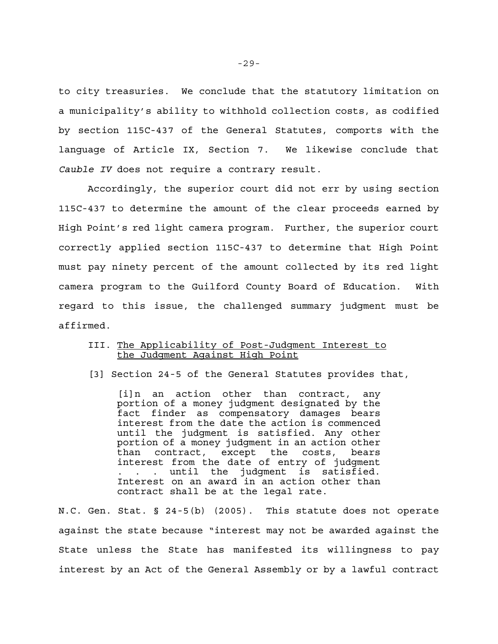to city treasuries. We conclude that the statutory limitation on a municipality's ability to withhold collection costs, as codified by section 115C-437 of the General Statutes, comports with the language of Article IX, Section 7. We likewise conclude that *Cauble IV* does not require a contrary result.

Accordingly, the superior court did not err by using section 115C-437 to determine the amount of the clear proceeds earned by High Point's red light camera program. Further, the superior court correctly applied section 115C-437 to determine that High Point must pay ninety percent of the amount collected by its red light camera program to the Guilford County Board of Education. With regard to this issue, the challenged summary judgment must be affirmed.

## III. The Applicability of Post-Judgment Interest to the Judgment Against High Point

[3] Section 24-5 of the General Statutes provides that,

[i]n an action other than contract, any portion of a money judgment designated by the fact finder as compensatory damages bears interest from the date the action is commenced until the judgment is satisfied. Any other portion of a money judgment in an action other than contract, except the costs, bears interest from the date of entry of judgment . . . until the judgment is satisfied. Interest on an award in an action other than contract shall be at the legal rate.

N.C. Gen. Stat. § 24-5(b) (2005). This statute does not operate against the state because "interest may not be awarded against the State unless the State has manifested its willingness to pay interest by an Act of the General Assembly or by a lawful contract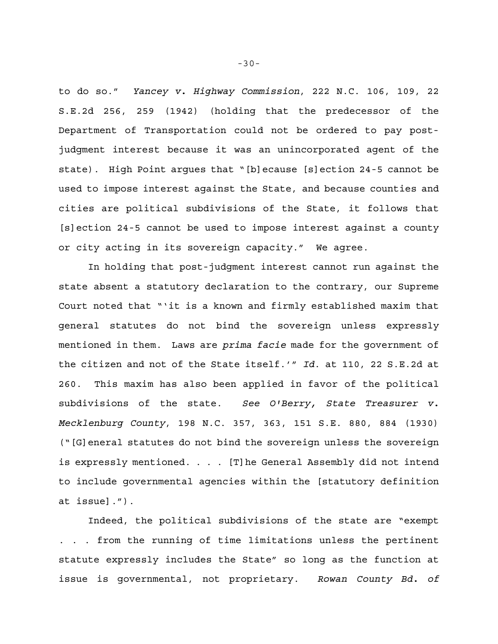to do so." *Yancey v. Highway Commission*, 222 N.C. 106, 109, 22 S.E.2d 256, 259 (1942) (holding that the predecessor of the Department of Transportation could not be ordered to pay postjudgment interest because it was an unincorporated agent of the state). High Point argues that "[b]ecause [s]ection 24-5 cannot be used to impose interest against the State, and because counties and cities are political subdivisions of the State, it follows that [s]ection 24-5 cannot be used to impose interest against a county or city acting in its sovereign capacity." We agree.

In holding that post-judgment interest cannot run against the state absent a statutory declaration to the contrary, our Supreme Court noted that "'it is a known and firmly established maxim that general statutes do not bind the sovereign unless expressly mentioned in them. Laws are *prima facie* made for the government of the citizen and not of the State itself.'" *Id*. at 110, 22 S.E.2d at 260. This maxim has also been applied in favor of the political subdivisions of the state. *See O'Berry, State Treasurer v. Mecklenburg County*, 198 N.C. 357, 363, 151 S.E. 880, 884 (1930) ("[G]eneral statutes do not bind the sovereign unless the sovereign is expressly mentioned. . . . [T]he General Assembly did not intend to include governmental agencies within the [statutory definition at issue].").

Indeed, the political subdivisions of the state are "exempt . . . from the running of time limitations unless the pertinent statute expressly includes the State" so long as the function at issue is governmental, not proprietary. *Rowan County Bd. of*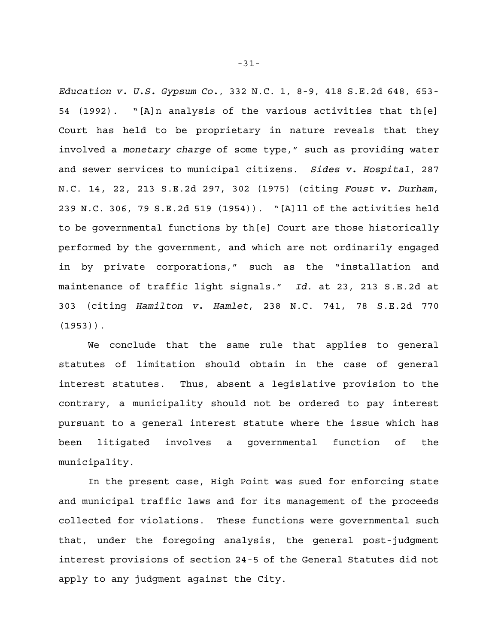*Education v. U.S. Gypsum Co.*, 332 N.C. 1, 8-9, 418 S.E.2d 648, 653- 54 (1992). "[A]n analysis of the various activities that th[e] Court has held to be proprietary in nature reveals that they involved a *monetary charge* of some type," such as providing water and sewer services to municipal citizens. *Sides v. Hospital*, 287 N.C. 14, 22, 213 S.E.2d 297, 302 (1975) (citing *Foust v. Durham*, 239 N.C. 306, 79 S.E.2d 519 (1954)). "[A]ll of the activities held to be governmental functions by th[e] Court are those historically performed by the government, and which are not ordinarily engaged in by private corporations," such as the "installation and maintenance of traffic light signals." *Id*. at 23, 213 S.E.2d at 303 (citing *Hamilton v. Hamlet*, 238 N.C. 741, 78 S.E.2d 770 (1953)).

We conclude that the same rule that applies to general statutes of limitation should obtain in the case of general interest statutes. Thus, absent a legislative provision to the contrary, a municipality should not be ordered to pay interest pursuant to a general interest statute where the issue which has been litigated involves a governmental function of the municipality.

In the present case, High Point was sued for enforcing state and municipal traffic laws and for its management of the proceeds collected for violations. These functions were governmental such that, under the foregoing analysis, the general post-judgment interest provisions of section 24-5 of the General Statutes did not apply to any judgment against the City.

-31-